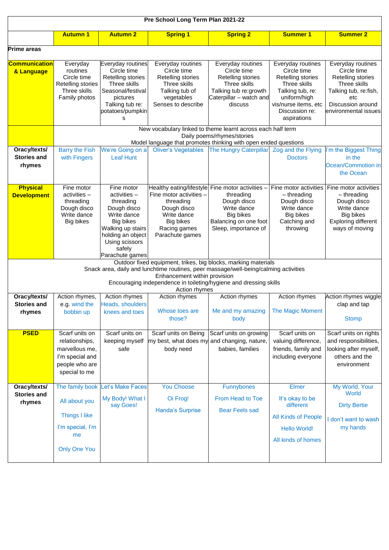|                                                                                                                                                                                                                                                                              | Pre School Long Term Plan 2021-22                                                                        |                                                                                                                                                                               |                                                                                                                                                                        |                                                                                                                                      |                                                                                                                                                                    |                                                                                                                                                    |  |  |
|------------------------------------------------------------------------------------------------------------------------------------------------------------------------------------------------------------------------------------------------------------------------------|----------------------------------------------------------------------------------------------------------|-------------------------------------------------------------------------------------------------------------------------------------------------------------------------------|------------------------------------------------------------------------------------------------------------------------------------------------------------------------|--------------------------------------------------------------------------------------------------------------------------------------|--------------------------------------------------------------------------------------------------------------------------------------------------------------------|----------------------------------------------------------------------------------------------------------------------------------------------------|--|--|
|                                                                                                                                                                                                                                                                              | <b>Autumn 1</b>                                                                                          | <b>Autumn 2</b>                                                                                                                                                               | <b>Spring 1</b>                                                                                                                                                        | <b>Spring 2</b>                                                                                                                      | <b>Summer 1</b>                                                                                                                                                    | <b>Summer 2</b>                                                                                                                                    |  |  |
| lPrime areas                                                                                                                                                                                                                                                                 |                                                                                                          |                                                                                                                                                                               |                                                                                                                                                                        |                                                                                                                                      |                                                                                                                                                                    |                                                                                                                                                    |  |  |
| <u> Communication</u><br>& Language                                                                                                                                                                                                                                          | Everyday<br>routines<br>Circle time<br>Retelling stories<br>Three skills<br>Family photos                | Everyday routines<br>Circle time<br>Retelling stories<br>Three skills<br>Seasonal/festival<br>pictures<br>Talking tub re:<br>potatoes/pumpkin<br>s                            | Everyday routines<br>Circle time<br>Retelling stories<br>Three skills<br>Talking tub of<br>vegetables<br>Senses to describe                                            | Everyday routines<br>Circle time<br>Retelling stories<br>Three skills<br>Talking tub re:growth<br>Caterpillar - watch and<br>discuss | Everyday routines<br>Circle time<br>Retelling stories<br>Three skills<br>Talking tub, re:<br>uniform/high<br>vis/nurse items, etc<br>Discussion re:<br>aspirations | Everyday routines<br>Circle time<br>Retelling stories<br>Three skills<br>Talking tub, re:fish,<br>etc<br>Discussion around<br>environmental issues |  |  |
|                                                                                                                                                                                                                                                                              | New vocabulary linked to theme learnt across each half term<br>Daily poems/rhymes/stories                |                                                                                                                                                                               |                                                                                                                                                                        |                                                                                                                                      |                                                                                                                                                                    |                                                                                                                                                    |  |  |
|                                                                                                                                                                                                                                                                              |                                                                                                          |                                                                                                                                                                               | Model language that promotes thinking with open ended questions                                                                                                        |                                                                                                                                      |                                                                                                                                                                    |                                                                                                                                                    |  |  |
| Oracy/texts/<br><b>Stories and</b><br>rhymes                                                                                                                                                                                                                                 | <b>Barry the Fish</b><br>with Fingers                                                                    | We're Going on a<br><b>Leaf Hunt</b>                                                                                                                                          | <b>Oliver's Vegetables</b>                                                                                                                                             | <b>The Hungry Caterpillar</b>                                                                                                        | Zog and the Flying<br><b>Doctors</b>                                                                                                                               | I'm the Biggest Thing<br>in the<br>Ocean/Commotion in<br>the Ocean                                                                                 |  |  |
| <b>Physical</b><br><b>Development</b>                                                                                                                                                                                                                                        | Fine motor<br>activities -<br>threading<br>Dough disco<br>Write dance<br>Big bikes                       | Fine motor<br>$activities -$<br>threading<br>Dough disco<br>Write dance<br>Big bikes<br>Walking up stairs<br>holding an object<br>Using scissors<br>safely<br>Parachute games | Healthy eating/lifestyle Fine motor activities -<br>Fine motor activities -<br>threading<br>Dough disco<br>Write dance<br>Big bikes<br>Racing games<br>Parachute games | threading<br>Dough disco<br>Write dance<br>Big bikes<br>Balancing on one foot<br>Sleep, importance of                                | Fine motor activities<br>$-$ threading<br>Dough disco<br>Write dance<br>Big bikes<br>Catching and<br>throwing                                                      | Fine motor activities<br>$-$ threading<br>Dough disco<br>Write dance<br>Big bikes<br><b>Exploring different</b><br>ways of moving                  |  |  |
| Outdoor fixed equipment, trikes, big blocks, marking materials<br>Snack area, daily and lunchtime routines, peer massage/well-being/calming activities<br>Enhancement within provision<br>Encouraging independence in toileting/hygiene and dressing skills<br>Action rhymes |                                                                                                          |                                                                                                                                                                               |                                                                                                                                                                        |                                                                                                                                      |                                                                                                                                                                    |                                                                                                                                                    |  |  |
| Oracy/texts/                                                                                                                                                                                                                                                                 | Action rhymes,                                                                                           | Action rhymes                                                                                                                                                                 | Action rhymes                                                                                                                                                          | Action rhymes                                                                                                                        | Action rhymes                                                                                                                                                      | Action rhymes wiggle                                                                                                                               |  |  |
| <b>Stories and</b><br>rhymes                                                                                                                                                                                                                                                 | e.g. wind the<br>bobbin up                                                                               | Heads, shoulders<br>knees and toes                                                                                                                                            | Whose toes are<br>those?                                                                                                                                               | Me and my amazing<br>body                                                                                                            | The Magic Moment                                                                                                                                                   | clap and tap<br><b>Stomp</b>                                                                                                                       |  |  |
| <b>PSED</b>                                                                                                                                                                                                                                                                  | Scarf units on<br>relationships,<br>marvellous me,<br>I'm special and<br>people who are<br>special to me | Scarf units on<br>keeping myself<br>safe                                                                                                                                      | Scarf units on Being<br>my best, what does my and changing, nature,<br>body need                                                                                       | Scarf units on growing<br>babies, families                                                                                           | Scarf units on<br>valuing difference,<br>friends, family and<br>including everyone                                                                                 | Scarf units on rights<br>and responsibilities,<br>looking after myself,<br>others and the<br>environment                                           |  |  |
| Oracy/texts/                                                                                                                                                                                                                                                                 | The family book                                                                                          | <b>Let's Make Faces</b>                                                                                                                                                       | <b>You Choose</b>                                                                                                                                                      | Funnybones                                                                                                                           | Elmer                                                                                                                                                              | My World, Your                                                                                                                                     |  |  |
| <b>Stories and</b><br>rhymes                                                                                                                                                                                                                                                 | All about you                                                                                            | My Body! What I<br>say Goes!                                                                                                                                                  | Oi Frog!<br><b>Handa's Surprise</b>                                                                                                                                    | <b>From Head to Toe</b><br><b>Bear Feels sad</b>                                                                                     | It's okay to be<br>different                                                                                                                                       | World<br><b>Dirty Bertie</b>                                                                                                                       |  |  |
|                                                                                                                                                                                                                                                                              | <b>Things I like</b>                                                                                     |                                                                                                                                                                               |                                                                                                                                                                        |                                                                                                                                      | All Kinds of People                                                                                                                                                |                                                                                                                                                    |  |  |
|                                                                                                                                                                                                                                                                              | I'm special, I'm<br>me                                                                                   |                                                                                                                                                                               |                                                                                                                                                                        |                                                                                                                                      | <b>Hello World!</b>                                                                                                                                                | I don't want to wash<br>my hands                                                                                                                   |  |  |
|                                                                                                                                                                                                                                                                              | <b>Only One You</b>                                                                                      |                                                                                                                                                                               |                                                                                                                                                                        |                                                                                                                                      | All kinds of homes                                                                                                                                                 |                                                                                                                                                    |  |  |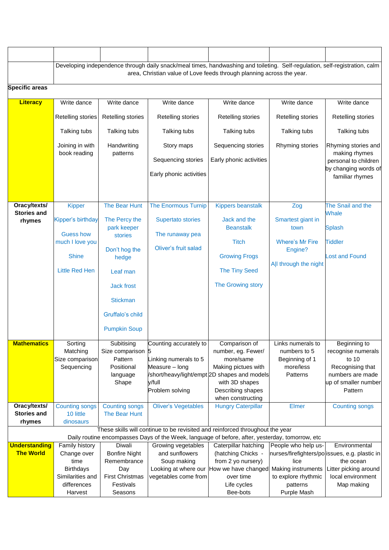|                      |                                                                       |                              | Developing independence through daily snack/meal times, handwashing and toileting. Self-regulation, self-registration, calm                                                      |                                                                |                           |                                                |  |  |
|----------------------|-----------------------------------------------------------------------|------------------------------|----------------------------------------------------------------------------------------------------------------------------------------------------------------------------------|----------------------------------------------------------------|---------------------------|------------------------------------------------|--|--|
|                      | area, Christian value of Love feeds through planning across the year. |                              |                                                                                                                                                                                  |                                                                |                           |                                                |  |  |
| Specific areas       |                                                                       |                              |                                                                                                                                                                                  |                                                                |                           |                                                |  |  |
|                      |                                                                       |                              |                                                                                                                                                                                  |                                                                |                           |                                                |  |  |
| <b>Literacy</b>      | Write dance                                                           | Write dance                  | Write dance                                                                                                                                                                      | Write dance                                                    | Write dance               | Write dance                                    |  |  |
|                      | Retelling stories                                                     | Retelling stories            | Retelling stories                                                                                                                                                                | Retelling stories                                              | Retelling stories         | Retelling stories                              |  |  |
|                      | Talking tubs                                                          | Talking tubs                 | Talking tubs                                                                                                                                                                     | Talking tubs                                                   | Talking tubs              | Talking tubs                                   |  |  |
|                      | Joining in with<br>book reading                                       | Handwriting<br>patterns      | Story maps                                                                                                                                                                       | Sequencing stories                                             | Rhyming stories           | Rhyming stories and<br>making rhymes           |  |  |
|                      |                                                                       |                              | Sequencing stories                                                                                                                                                               | Early phonic activities                                        |                           | personal to children                           |  |  |
|                      |                                                                       |                              | Early phonic activities                                                                                                                                                          |                                                                |                           | by changing words of                           |  |  |
|                      |                                                                       |                              |                                                                                                                                                                                  |                                                                |                           | familiar rhymes                                |  |  |
|                      |                                                                       |                              |                                                                                                                                                                                  |                                                                |                           |                                                |  |  |
| Oracy/texts/         | <b>Kipper</b>                                                         | The Bear Hunt                | <b>The Enormous Turnip</b>                                                                                                                                                       | <b>Kippers beanstalk</b>                                       | Zog                       | The Snail and the                              |  |  |
| <b>Stories and</b>   |                                                                       |                              |                                                                                                                                                                                  |                                                                |                           | Whale                                          |  |  |
| rhymes               | Kipper's birthday                                                     | The Percy the<br>park keeper | <b>Supertato stories</b>                                                                                                                                                         | Jack and the<br><b>Beanstalk</b>                               | Smartest giant in<br>town | <b>Splash</b>                                  |  |  |
|                      | <b>Guess how</b>                                                      | <b>stories</b>               | The runaway pea                                                                                                                                                                  |                                                                |                           |                                                |  |  |
|                      | much I love you                                                       |                              |                                                                                                                                                                                  | <b>Titch</b>                                                   | <b>Where's Mr Fire</b>    | <b>Tiddler</b>                                 |  |  |
|                      | <b>Shine</b>                                                          | Don't hog the<br>hedge       | Oliver's fruit salad                                                                                                                                                             | <b>Growing Frogs</b>                                           | Engine?                   | <b>Lost and Found</b>                          |  |  |
|                      |                                                                       |                              |                                                                                                                                                                                  |                                                                | All through the night     |                                                |  |  |
|                      | <b>Little Red Hen</b>                                                 | Leaf man                     |                                                                                                                                                                                  | <b>The Tiny Seed</b>                                           |                           |                                                |  |  |
|                      |                                                                       | <b>Jack frost</b>            |                                                                                                                                                                                  | The Growing story                                              |                           |                                                |  |  |
|                      |                                                                       | <b>Stickman</b>              |                                                                                                                                                                                  |                                                                |                           |                                                |  |  |
|                      |                                                                       | Gruffalo's child             |                                                                                                                                                                                  |                                                                |                           |                                                |  |  |
|                      |                                                                       | <b>Pumpkin Soup</b>          |                                                                                                                                                                                  |                                                                |                           |                                                |  |  |
| <b>Mathematics</b>   | Sorting                                                               | Subitising                   | Counting accurately to                                                                                                                                                           | Comparison of                                                  | Links numerals to         | Beginning to                                   |  |  |
|                      | Matching                                                              | Size comparison              |                                                                                                                                                                                  | number, eg. Fewer/                                             | numbers to 5              | recognise numerals                             |  |  |
|                      | Size comparison                                                       | Pattern                      | Linking numerals to 5                                                                                                                                                            | more/same                                                      | Beginning of 1            | to 10                                          |  |  |
|                      | Sequencing                                                            | Positional                   | Measure - long                                                                                                                                                                   | Making pictues with                                            | more/less                 | Recognising that                               |  |  |
|                      |                                                                       | language<br>Shape            | y/full                                                                                                                                                                           | /short/heavy/light/empt 2D shapes and models<br>with 3D shapes | Patterns                  | numbers are made<br>up of smaller number       |  |  |
|                      |                                                                       |                              | Problem solving                                                                                                                                                                  | Describing shapes                                              |                           | Pattern                                        |  |  |
|                      |                                                                       |                              |                                                                                                                                                                                  | when constructing                                              |                           |                                                |  |  |
| Oracy/texts/         | <b>Counting songs</b>                                                 | <b>Counting songs</b>        | <b>Oliver's Vegetables</b>                                                                                                                                                       | <b>Hungry Caterpillar</b>                                      | Elmer                     | <b>Counting songs</b>                          |  |  |
| <b>Stories and</b>   | 10 little                                                             | The Bear Hunt                |                                                                                                                                                                                  |                                                                |                           |                                                |  |  |
| rhymes               | dinosaurs                                                             |                              |                                                                                                                                                                                  |                                                                |                           |                                                |  |  |
|                      |                                                                       |                              | These skills will continue to be revisited and reinforced throughout the year<br>Daily routine encompasses Days of the Week, language of before, after, yesterday, tomorrow, etc |                                                                |                           |                                                |  |  |
| <b>Understanding</b> | Family history                                                        | Diwali                       | Growing vegetables                                                                                                                                                               | Caterpillar hatching                                           | People who help us-       | Environmental                                  |  |  |
| <b>The World</b>     | Change over                                                           | <b>Bonfire Night</b>         | and sunflowers                                                                                                                                                                   | (hatching Chicks -                                             |                           | nurses/firefighters/polissues, e.g. plastic in |  |  |
|                      | time                                                                  | Remembrance                  | Soup making                                                                                                                                                                      | from 2 yo nursery)                                             | lice                      | the ocean                                      |  |  |
|                      | <b>Birthdays</b>                                                      | Day                          |                                                                                                                                                                                  | Looking at where our How we have changed                       | Making instruments        | Litter picking around                          |  |  |
|                      | Similarities and                                                      | <b>First Christmas</b>       | vegetables come from                                                                                                                                                             | over time                                                      | to explore rhythmic       | local environment                              |  |  |
|                      | differences                                                           | Festivals                    |                                                                                                                                                                                  | Life cycles                                                    | patterns                  | Map making                                     |  |  |
|                      | Harvest                                                               | Seasons                      |                                                                                                                                                                                  | Bee-bots                                                       | Purple Mash               |                                                |  |  |